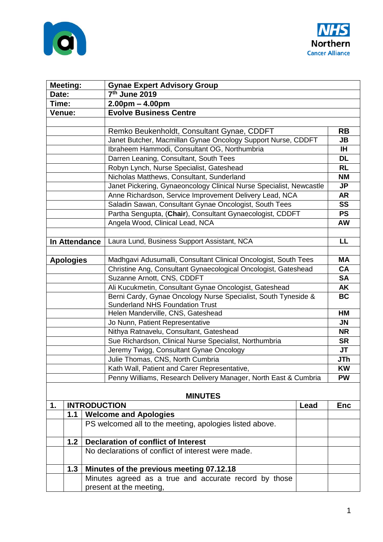



| <b>Meeting:</b>  |     |                     | <b>Gynae Expert Advisory Group</b>                                          |      |            |
|------------------|-----|---------------------|-----------------------------------------------------------------------------|------|------------|
| Date:            |     |                     | 7 <sup>th</sup> June 2019                                                   |      |            |
| Time:            |     |                     | $2.00pm - 4.00pm$                                                           |      |            |
| Venue:           |     |                     | <b>Evolve Business Centre</b>                                               |      |            |
|                  |     |                     |                                                                             |      |            |
|                  |     |                     | Remko Beukenholdt, Consultant Gynae, CDDFT                                  |      | <b>RB</b>  |
|                  |     |                     | Janet Butcher, Macmillan Gynae Oncology Support Nurse, CDDFT                |      | JB         |
|                  |     |                     | Ibraheem Hammodi, Consultant OG, Northumbria                                |      | <b>IH</b>  |
|                  |     |                     | Darren Leaning, Consultant, South Tees                                      |      | <b>DL</b>  |
|                  |     |                     | Robyn Lynch, Nurse Specialist, Gateshead                                    |      | <b>RL</b>  |
|                  |     |                     | Nicholas Matthews, Consultant, Sunderland                                   |      | <b>NM</b>  |
|                  |     |                     | Janet Pickering, Gynaeoncology Clinical Nurse Specialist, Newcastle         |      | JP         |
|                  |     |                     | Anne Richardson, Service Improvement Delivery Lead, NCA                     |      | <b>AR</b>  |
|                  |     |                     | Saladin Sawan, Consultant Gynae Oncologist, South Tees                      |      | <b>SS</b>  |
|                  |     |                     | Partha Sengupta, (Chair), Consultant Gynaecologist, CDDFT                   |      | <b>PS</b>  |
|                  |     |                     | Angela Wood, Clinical Lead, NCA                                             |      | <b>AW</b>  |
|                  |     |                     |                                                                             |      |            |
| In Attendance    |     |                     | Laura Lund, Business Support Assistant, NCA                                 |      | LL         |
|                  |     |                     |                                                                             |      |            |
| <b>Apologies</b> |     |                     | Madhgavi Adusumalli, Consultant Clinical Oncologist, South Tees             |      | <b>MA</b>  |
|                  |     |                     | Christine Ang, Consultant Gynaecological Oncologist, Gateshead              |      | <b>CA</b>  |
|                  |     |                     | Suzanne Arnott, CNS, CDDFT                                                  |      | <b>SA</b>  |
|                  |     |                     | Ali Kucukmetin, Consultant Gynae Oncologist, Gateshead                      |      | <b>AK</b>  |
|                  |     |                     | Berni Cardy, Gynae Oncology Nurse Specialist, South Tyneside &              |      | <b>BC</b>  |
|                  |     |                     | <b>Sunderland NHS Foundation Trust</b><br>Helen Manderville, CNS, Gateshead |      | HM         |
|                  |     |                     | Jo Nunn, Patient Representative                                             |      | <b>JN</b>  |
|                  |     |                     | Nithya Ratnavelu, Consultant, Gateshead                                     |      | <b>NR</b>  |
|                  |     |                     | Sue Richardson, Clinical Nurse Specialist, Northumbria                      |      | <b>SR</b>  |
|                  |     |                     | Jeremy Twigg, Consultant Gynae Oncology                                     |      | JT         |
|                  |     |                     | Julie Thomas, CNS, North Cumbria                                            |      | JTh        |
|                  |     |                     | Kath Wall, Patient and Carer Representative,                                |      | <b>KW</b>  |
|                  |     |                     | Penny Williams, Research Delivery Manager, North East & Cumbria             |      | <b>PW</b>  |
|                  |     |                     |                                                                             |      |            |
|                  |     |                     | <b>MINUTES</b>                                                              |      |            |
| 1.               |     | <b>INTRODUCTION</b> |                                                                             | Lead | <b>Enc</b> |
|                  | 1.1 |                     | <b>Welcome and Apologies</b>                                                |      |            |
|                  |     |                     | PS welcomed all to the meeting, apologies listed above.                     |      |            |
|                  | 1.2 |                     | <b>Declaration of conflict of Interest</b>                                  |      |            |
|                  |     |                     | No declarations of conflict of interest were made.                          |      |            |
|                  | 1.3 |                     | Minutes of the previous meeting 07.12.18                                    |      |            |
|                  |     |                     | Minutes agreed as a true and accurate record by those                       |      |            |
|                  |     |                     | present at the meeting,                                                     |      |            |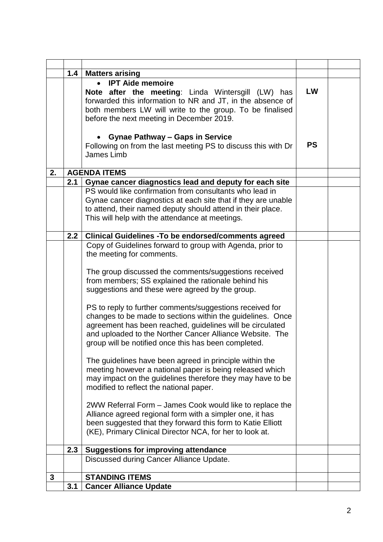|    | 1.4 | <b>Matters arising</b>                                                                                                                                                                                                                                                                                                                                                                                                                                                                                                                                                                                                                                                                                                                                                                                                                                                                                                                                                                                                                                  |           |  |
|----|-----|---------------------------------------------------------------------------------------------------------------------------------------------------------------------------------------------------------------------------------------------------------------------------------------------------------------------------------------------------------------------------------------------------------------------------------------------------------------------------------------------------------------------------------------------------------------------------------------------------------------------------------------------------------------------------------------------------------------------------------------------------------------------------------------------------------------------------------------------------------------------------------------------------------------------------------------------------------------------------------------------------------------------------------------------------------|-----------|--|
|    |     | <b>IPT Aide memoire</b><br>$\bullet$<br>Note after the meeting: Linda Wintersgill (LW) has<br>forwarded this information to NR and JT, in the absence of<br>both members LW will write to the group. To be finalised<br>before the next meeting in December 2019.                                                                                                                                                                                                                                                                                                                                                                                                                                                                                                                                                                                                                                                                                                                                                                                       | LW        |  |
|    |     | <b>Gynae Pathway - Gaps in Service</b><br>Following on from the last meeting PS to discuss this with Dr<br>James Limb                                                                                                                                                                                                                                                                                                                                                                                                                                                                                                                                                                                                                                                                                                                                                                                                                                                                                                                                   | <b>PS</b> |  |
| 2. |     | <b>AGENDA ITEMS</b>                                                                                                                                                                                                                                                                                                                                                                                                                                                                                                                                                                                                                                                                                                                                                                                                                                                                                                                                                                                                                                     |           |  |
|    | 2.1 | Gynae cancer diagnostics lead and deputy for each site                                                                                                                                                                                                                                                                                                                                                                                                                                                                                                                                                                                                                                                                                                                                                                                                                                                                                                                                                                                                  |           |  |
|    |     | PS would like confirmation from consultants who lead in<br>Gynae cancer diagnostics at each site that if they are unable<br>to attend, their named deputy should attend in their place.<br>This will help with the attendance at meetings.                                                                                                                                                                                                                                                                                                                                                                                                                                                                                                                                                                                                                                                                                                                                                                                                              |           |  |
|    | 2.2 | <b>Clinical Guidelines - To be endorsed/comments agreed</b>                                                                                                                                                                                                                                                                                                                                                                                                                                                                                                                                                                                                                                                                                                                                                                                                                                                                                                                                                                                             |           |  |
|    |     | Copy of Guidelines forward to group with Agenda, prior to<br>the meeting for comments.<br>The group discussed the comments/suggestions received<br>from members; SS explained the rationale behind his<br>suggestions and these were agreed by the group.<br>PS to reply to further comments/suggestions received for<br>changes to be made to sections within the guidelines. Once<br>agreement has been reached, guidelines will be circulated<br>and uploaded to the Norther Cancer Alliance Website. The<br>group will be notified once this has been completed.<br>The guidelines have been agreed in principle within the<br>meeting however a national paper is being released which<br>may impact on the guidelines therefore they may have to be<br>modified to reflect the national paper.<br>2WW Referral Form – James Cook would like to replace the<br>Alliance agreed regional form with a simpler one, it has<br>been suggested that they forward this form to Katie Elliott<br>(KE), Primary Clinical Director NCA, for her to look at. |           |  |
|    | 2.3 | <b>Suggestions for improving attendance</b>                                                                                                                                                                                                                                                                                                                                                                                                                                                                                                                                                                                                                                                                                                                                                                                                                                                                                                                                                                                                             |           |  |
|    |     | Discussed during Cancer Alliance Update.                                                                                                                                                                                                                                                                                                                                                                                                                                                                                                                                                                                                                                                                                                                                                                                                                                                                                                                                                                                                                |           |  |
| 3  |     | <b>STANDING ITEMS</b>                                                                                                                                                                                                                                                                                                                                                                                                                                                                                                                                                                                                                                                                                                                                                                                                                                                                                                                                                                                                                                   |           |  |
|    | 3.1 | <b>Cancer Alliance Update</b>                                                                                                                                                                                                                                                                                                                                                                                                                                                                                                                                                                                                                                                                                                                                                                                                                                                                                                                                                                                                                           |           |  |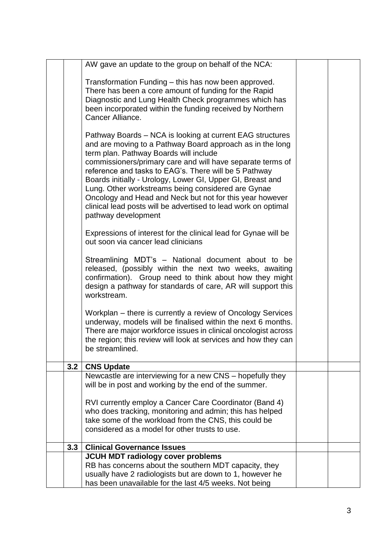|     | AW gave an update to the group on behalf of the NCA:                                                                       |  |  |
|-----|----------------------------------------------------------------------------------------------------------------------------|--|--|
|     |                                                                                                                            |  |  |
|     | Transformation Funding - this has now been approved.                                                                       |  |  |
|     | There has been a core amount of funding for the Rapid                                                                      |  |  |
|     | Diagnostic and Lung Health Check programmes which has                                                                      |  |  |
|     | been incorporated within the funding received by Northern                                                                  |  |  |
|     | Cancer Alliance.                                                                                                           |  |  |
|     |                                                                                                                            |  |  |
|     | Pathway Boards – NCA is looking at current EAG structures                                                                  |  |  |
|     | and are moving to a Pathway Board approach as in the long                                                                  |  |  |
|     | term plan. Pathway Boards will include                                                                                     |  |  |
|     | commissioners/primary care and will have separate terms of                                                                 |  |  |
|     | reference and tasks to EAG's. There will be 5 Pathway                                                                      |  |  |
|     | Boards initially - Urology, Lower GI, Upper GI, Breast and                                                                 |  |  |
|     | Lung. Other workstreams being considered are Gynae                                                                         |  |  |
|     | Oncology and Head and Neck but not for this year however<br>clinical lead posts will be advertised to lead work on optimal |  |  |
|     | pathway development                                                                                                        |  |  |
|     |                                                                                                                            |  |  |
|     | Expressions of interest for the clinical lead for Gynae will be                                                            |  |  |
|     | out soon via cancer lead clinicians                                                                                        |  |  |
|     |                                                                                                                            |  |  |
|     | Streamlining MDT's - National document about to be                                                                         |  |  |
|     | released, (possibly within the next two weeks, awaiting                                                                    |  |  |
|     | confirmation). Group need to think about how they might                                                                    |  |  |
|     | design a pathway for standards of care, AR will support this                                                               |  |  |
|     | workstream.                                                                                                                |  |  |
|     | Workplan – there is currently a review of Oncology Services                                                                |  |  |
|     | underway, models will be finalised within the next 6 months.                                                               |  |  |
|     | There are major workforce issues in clinical oncologist across                                                             |  |  |
|     | the region; this review will look at services and how they can                                                             |  |  |
|     | be streamlined.                                                                                                            |  |  |
|     |                                                                                                                            |  |  |
| 3.2 | <b>CNS Update</b>                                                                                                          |  |  |
|     | Newcastle are interviewing for a new CNS – hopefully they<br>will be in post and working by the end of the summer.         |  |  |
|     |                                                                                                                            |  |  |
|     | RVI currently employ a Cancer Care Coordinator (Band 4)                                                                    |  |  |
|     | who does tracking, monitoring and admin; this has helped                                                                   |  |  |
|     | take some of the workload from the CNS, this could be                                                                      |  |  |
|     | considered as a model for other trusts to use.                                                                             |  |  |
|     |                                                                                                                            |  |  |
|     | 3.3<br><b>Clinical Governance Issues</b>                                                                                   |  |  |
|     | JCUH MDT radiology cover problems                                                                                          |  |  |
|     | RB has concerns about the southern MDT capacity, they<br>usually have 2 radiologists but are down to 1, however he         |  |  |
|     | has been unavailable for the last 4/5 weeks. Not being                                                                     |  |  |
|     |                                                                                                                            |  |  |